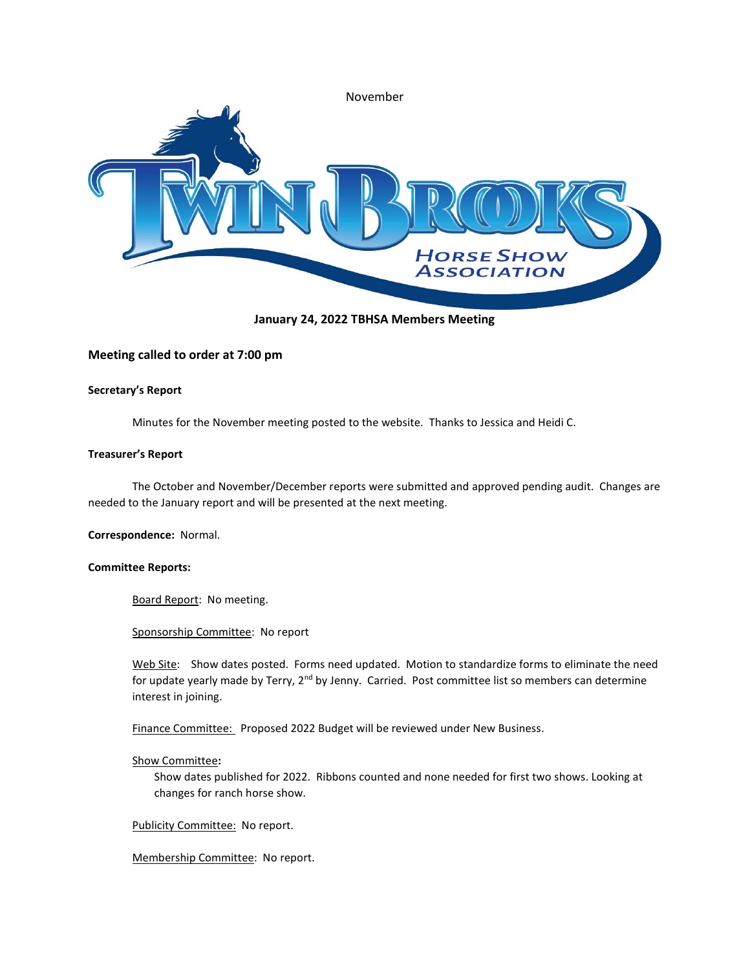

January 24, 2022 TBHSA Members Meeting

# Meeting called to order at 7:00 pm

## Secretary's Report

Minutes for the November meeting posted to the website. Thanks to Jessica and Heidi C.

## Treasurer's Report

The October and November/December reports were submitted and approved pending audit. Changes are needed to the January report and will be presented at the next meeting.

Correspondence: Normal.

### Committee Reports:

Board Report: No meeting.

Sponsorship Committee: No report

Web Site: Show dates posted. Forms need updated. Motion to standardize forms to eliminate the need for update yearly made by Terry, 2<sup>nd</sup> by Jenny. Carried. Post committee list so members can determine interest in joining.

Finance Committee: Proposed 2022 Budget will be reviewed under New Business.

# Show Committee:

Show dates published for 2022. Ribbons counted and none needed for first two shows. Looking at changes for ranch horse show.

Publicity Committee: No report.

Membership Committee: No report.